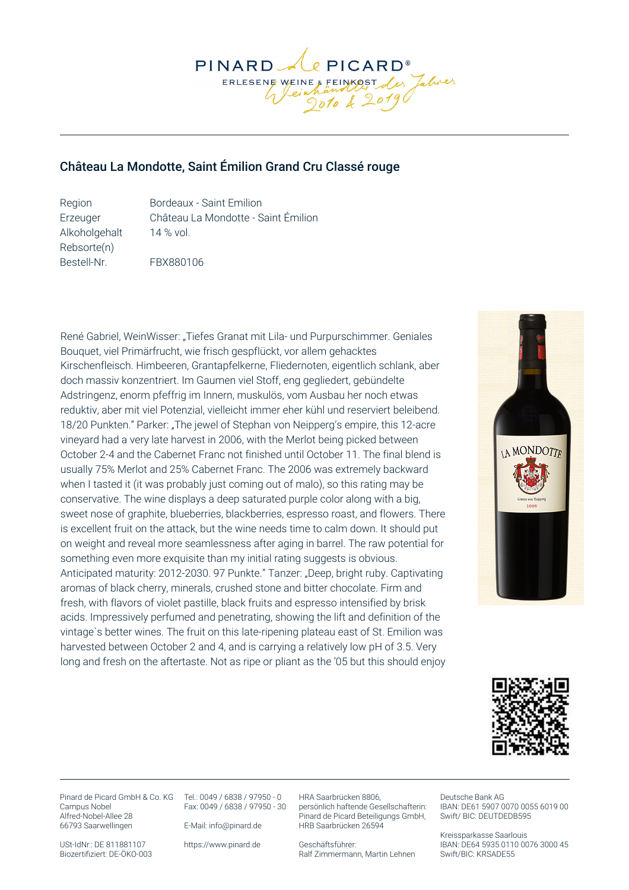

## Château La Mondotte, Saint Émilion Grand Cru Classé rouge

Region Bordeaux - Saint Emilion Erzeuger Château La Mondotte - Saint Émilion Alkoholgehalt 14 % vol. Rebsorte(n) Bestell-Nr. FBX880106

René Gabriel, WeinWisser: "Tiefes Granat mit Lila- und Purpurschimmer. Geniales Bouquet, viel Primärfrucht, wie frisch gespflückt, vor allem gehacktes Kirschenfleisch. Himbeeren, Grantapfelkerne, Fliedernoten, eigentlich schlank, aber doch massiv konzentriert. Im Gaumen viel Stoff, eng gegliedert, gebündelte Adstringenz, enorm pfeffrig im Innern, muskulös, vom Ausbau her noch etwas reduktiv, aber mit viel Potenzial, vielleicht immer eher kühl und reserviert beleibend. 18/20 Punkten." Parker: "The jewel of Stephan von Neipperg's empire, this 12-acre vineyard had a very late harvest in 2006, with the Merlot being picked between October 2-4 and the Cabernet Franc not finished until October 11. The final blend is usually 75% Merlot and 25% Cabernet Franc. The 2006 was extremely backward when I tasted it (it was probably just coming out of malo), so this rating may be conservative. The wine displays a deep saturated purple color along with a big, sweet nose of graphite, blueberries, blackberries, espresso roast, and flowers. There is excellent fruit on the attack, but the wine needs time to calm down. It should put on weight and reveal more seamlessness after aging in barrel. The raw potential for something even more exquisite than my initial rating suggests is obvious. Anticipated maturity: 2012-2030. 97 Punkte." Tanzer: "Deep, bright ruby. Captivating aromas of black cherry, minerals, crushed stone and bitter chocolate. Firm and fresh, with flavors of violet pastille, black fruits and espresso intensified by brisk acids. Impressively perfumed and penetrating, showing the lift and definition of the vintage`s better wines. The fruit on this late-ripening plateau east of St. Emilion was harvested between October 2 and 4, and is carrying a relatively low pH of 3.5. Very long and fresh on the aftertaste. Not as ripe or pliant as the '05 but this should enjoy





Pinard de Picard GmbH & Co. KG Tel.: 0049 / 6838 / 97950 - 0 Campus Nobel Alfred-Nobel-Allee 28 66793 Saarwellingen

Fax: 0049 / 6838 / 97950 - 30

E-Mail: info@pinard.de

USt-IdNr.: DE 811881107 Biozertifiziert: DE-ÖKO-003 https://www.pinard.de

HRA Saarbrücken 8806, persönlich haftende Gesellschafterin: Pinard de Picard Beteiligungs GmbH, HRB Saarbrücken 26594

Geschäftsführer: Ralf Zimmermann, Martin Lehnen

Deutsche Bank AG IBAN: DE61 5907 0070 0055 6019 00 Swift/ BIC: DEUTDEDB595

Kreissparkasse Saarlouis IBAN: DE64 5935 0110 0076 3000 45 Swift/BIC: KRSADE55